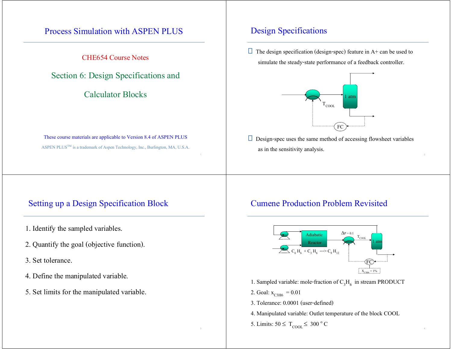## Process Simulation with ASPEN PLUS

CHE654 Course Notes

Section 6: Design Specifications and

Calculator Blocks

These course materials are applicable to Version 8.4 of ASPEN PLUS ASPEN PLUS<sup>™</sup> is a trademark of Aspen Technology, Inc., Burlington, MA, U.S.A.

### Setting up a Design Specification Block

- 1. Identify the sampled variables.
- 2. Quantify the goal (objective function).
- 3. Set tolerance.
- 4. Define the manipulated variable.
- 5. Set limits for the manipulated variable.

## Design Specifications

 $\Box$  The design specification (design-spec) feature in A+ can be used to simulate the steady-state performance of a feedback controller.



 $\Box$  Design-spec uses the same method of accessing flowsheet variables as in the sensitivity analysis.

### Cumene Production Problem Revisited

 $1$  and  $2$  and  $2$  and  $2$  and  $2$  and  $2$  and  $2$  and  $2$  and  $2$  and  $2$  and  $2$ 



- 1. Sampled variable: mole-fraction of  $C_3H_6$  in stream PRODUCT
- 2. Goal:  $x_{C3H6} = 0.01$
- 3. Tolerance: 0.0001 (user-defined)
- 4. Manipulated variable: Outlet temperature of the block COOL
- 5. Limits:  $50 \leq T_{\text{COOL}} \leq 300 \degree \text{C}$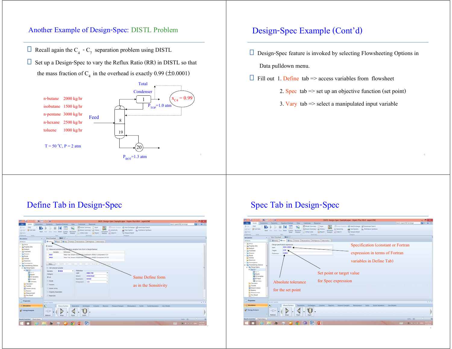### Another Example of Design-Spec: DISTL Problem

- $\Box$  Recall again the C<sub>4</sub> C<sub>7</sub> separation problem using DISTL
- $\Box$  Set up a Design-Spec to vary the Reflux Ratio (RR) in DISTL so that the mass fraction of  $C_4$  in the overhead is exactly 0.99 ( $\pm$ 0.0001)



## Design-Spec Example (Cont'd)

- $\Box$  Design-Spec feature is invoked by selecting Flowsheeting Options in Data pulldown menu.
- Fill out 1. Define tab => access variables from flowsheet
	- 2. Spec tab => set up an objective function (set point)
	- 3. Vary tab  $\Rightarrow$  select a manipulated input variable

# Define Tab in Design-Spec



# Spec Tab in Design-Spec

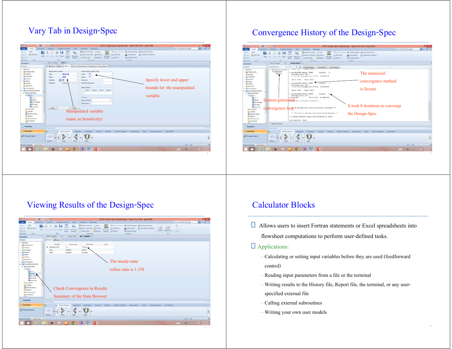# Vary Tab in Design-Spec

| н                                                                                                                                 | $N2$ $\rightarrow$ $\rightarrow$ $\rightarrow$ $\rightarrow$                                |                                                                                                                                                                      | DISTL Design-Spec Example.apw - Aspen Plus VB.4 - aspenONE                                                                                           |                            | - 61           |
|-----------------------------------------------------------------------------------------------------------------------------------|---------------------------------------------------------------------------------------------|----------------------------------------------------------------------------------------------------------------------------------------------------------------------|------------------------------------------------------------------------------------------------------------------------------------------------------|----------------------------|----------------|
| <b>brownics</b><br>Plomat                                                                                                         | <b>Dynamics</b><br>Equation Oriented<br>View.                                               | Customize Resources                                                                                                                                                  |                                                                                                                                                      | Search aspenONE Exchange   | <b>130 4 0</b> |
| <b>DAG</b><br>& Cut<br>N.<br>Gribst Sets<br><b>DOIN</b><br><b>Field:</b><br>25 Farier<br>Duty.<br>Clobcard                        | Liber   Sleep<br><b>Ship Reset Control Recordia</b><br><b>Sheared</b><br>Panel<br>fun.      | Model Summary   Input<br>Stream Summary * all History<br>C Senitivity<br>Activated<br>Analysis Let Data Fit<br><b>L'i</b> Mility Corbs<br><b>D</b> Report<br>Summary | Sillingen Analysis . An Heat Exchanger N.P Assettingle Search<br>23 Flare System<br><b>Distillation Systhesis</b><br>+3. Pressure Reisel<br>Analysis |                            |                |
| Simulation                                                                                                                        | $DS - 1$ $+$<br>Main Flowsheet, it                                                          |                                                                                                                                                                      |                                                                                                                                                      |                            |                |
| All Inems                                                                                                                         | ODefine OSpec OVery Forman Declarations 10 Options Information                              |                                                                                                                                                                      |                                                                                                                                                      |                            |                |
| + Ca Setup<br>> Da Property Sets<br><b>Ca Analysis</b><br>1 City Flowsheet<br><b>CA Streams</b>                                   | Manipulated variable<br>Type<br><b>Block-Var</b><br>۰<br><b>DISTL</b><br><b>Block</b><br>÷. | Manipulated variable limits<br>0.5<br>Lower<br>1.5<br>Upper:                                                                                                         |                                                                                                                                                      |                            |                |
| <b>Els</b> Blocks<br><b>Ca</b> Utilities                                                                                          | 原<br>Variable<br>۰<br>PARAM<br>Sentence                                                     | Step size:<br>Maximum step size:                                                                                                                                     | Specify lower and upper                                                                                                                              |                            |                |
| <b>Beactions</b><br><b>Convergence</b><br>A Lig Flowsheeting Options<br><sup>a</sup> Little Design Spect                          |                                                                                             | <b>Report labels</b><br>Line t: Line 2: Line 3: Line 4:                                                                                                              |                                                                                                                                                      | bounds for the manipulated |                |
| $-2805-1$<br>6 Input<br><b>B</b> flexits<br><b>Ed ED Variables</b><br>all to input                                                |                                                                                             | <b>EO</b> input<br>Doen variatie:<br>Description:                                                                                                                    | variable                                                                                                                                             |                            |                |
| <b>22 Summary</b><br>Calculator<br><b>Standfer</b><br>9) Stream Library<br><b>Balance</b><br><b>Measurement</b><br>Ta Pres Retief | Copy<br><b>Factor</b><br>Ceat                                                               | Manipulated variable<br>(same as Sensitivity)                                                                                                                        |                                                                                                                                                      |                            |                |
| <b>HPR ALLA</b><br>Properties                                                                                                     | Model Patents                                                                               |                                                                                                                                                                      |                                                                                                                                                      |                            | $-12$          |
| <b>Simulation</b>                                                                                                                 | $\overline{\mathbf{S}}$<br>Mixers/Salitters<br>Separators                                   | Columns<br><b>Reactive</b><br>Exchangers                                                                                                                             | Pressure Changers   Manipulation<br><b>State Models</b><br>-> Sellids<br>Solida Separators                                                           |                            |                |
| AV Energy Analysis                                                                                                                | $\neg$<br>Material<br>Mixer<br><b>FSplit</b>                                                | SSpit                                                                                                                                                                |                                                                                                                                                      |                            |                |
| Results Available Check Status                                                                                                    |                                                                                             |                                                                                                                                                                      |                                                                                                                                                      | $mn - B$                   |                |
|                                                                                                                                   |                                                                                             |                                                                                                                                                                      |                                                                                                                                                      |                            |                |

## Convergence History of the Design-Spec



## Viewing Results of the Design-Spec

| $\mathbb{E}$ N <sub>2</sub> $\equiv$ $\mathbb{E}$ $\equiv$ $\mathbb{H}$                                                                                                                     |                                                                                                         |                                                                                                                                                            | DISTL Design-Spec Example.apw - Aspen Plus VII.4 - aspenONE                                                                                                          |                                                                   | $-5$<br><b>x</b> |
|---------------------------------------------------------------------------------------------------------------------------------------------------------------------------------------------|---------------------------------------------------------------------------------------------------------|------------------------------------------------------------------------------------------------------------------------------------------------------------|----------------------------------------------------------------------------------------------------------------------------------------------------------------------|-------------------------------------------------------------------|------------------|
| <b>tennomis</b>                                                                                                                                                                             | <b>Equation Oriented</b><br><b>Dynamics</b><br>View.                                                    | Resources<br>Customize                                                                                                                                     |                                                                                                                                                                      | Search aspenONE Exchange                                          | <b>Elo w 0</b>   |
| <b>ENG</b><br>& Cit.<br>N <sub>2</sub><br><b>Go Unit Sets</b><br>420101<br>Next<br>25 Partie<br><b>Distri</b><br>Olphoard                                                                   | ч.<br>fittion Flattert Contrast Recording<br><b>Barry</b><br>They.<br><b>Streams</b><br>Parel.<br>Rick. | <b>25 Model Summary El Input</b><br>Sibean Summary * and History<br><b>Activated</b><br>Analysis C Data Fit<br>Li Litting Costs<br>El fieport<br>Sizinmary | <b>SESSION ANALOG</b><br>All Heat Exchanger 1.3 Apechinge Search<br>C Servicery<br>13. Flare Sustern D., Distillation Synthesis<br><br><br>Primare Field<br>Analysis | ÷<br>IV.<br>B<br>Acht<br>Custom Parametric (2)<br>Current<br>Pace |                  |
| ٠<br>Simulation                                                                                                                                                                             | Main Flowsheet :   DS-1 x   Control Panel x   DS-1 - Results   4                                        |                                                                                                                                                            |                                                                                                                                                                      |                                                                   |                  |
| All heres<br>٠                                                                                                                                                                              | Results GStatus                                                                                         |                                                                                                                                                            |                                                                                                                                                                      |                                                                   |                  |
| 1 Elli Setup<br>٠<br>I Di Property Sets<br><b>Analysis</b><br><b>I</b> Call Cowsheet<br>+ Eg Streams<br>+ Ein Blocks                                                                        | Initial value<br>Variable<br>> MANIFULATED<br>15<br>0454227<br>3004<br>0,544459<br>33658                | Usits<br>Final value<br>1.15794<br>0.45217<br>0.537843                                                                                                     |                                                                                                                                                                      |                                                                   |                  |
| <b>Ca</b> Utilities<br><b>El Reactions</b><br><b>B</b> Convergence<br>. <b>ig</b> flowsheeting Options<br>· Ela Design Specs                                                                |                                                                                                         |                                                                                                                                                            | The steady-state                                                                                                                                                     |                                                                   |                  |
| $4.8805 - 1$<br><b>Slinger</b><br><b>Caffetults</b><br><b>ED</b> FO Variations<br>$\overline{a}$ (0 input)<br><b>Ra</b> Sommary<br><b>Calculator</b><br>Transfer<br><b>G</b> Stream Library |                                                                                                         |                                                                                                                                                            | reflux ratio is 1.158                                                                                                                                                |                                                                   |                  |
| <b>Balance</b>                                                                                                                                                                              |                                                                                                         | <b>Check Convergence in Results</b>                                                                                                                        |                                                                                                                                                                      |                                                                   |                  |
| Messurement<br><b>Ta Pres Relief</b><br>11.11                                                                                                                                               |                                                                                                         | Summary of the Data Browser                                                                                                                                |                                                                                                                                                                      |                                                                   |                  |
| Properties                                                                                                                                                                                  | <b>Model Paierty</b>                                                                                    |                                                                                                                                                            |                                                                                                                                                                      |                                                                   | $-7.3$           |
| <b>Simulation</b>                                                                                                                                                                           | $\overline{\mathbf{N}}$<br>Maero/Spiliters<br>Separators                                                | Columni<br><b>Reactors</b><br>Exchangers                                                                                                                   | : Pressure Changers<br>Manpulators<br>Solds                                                                                                                          | <b>User Models</b><br>Solida Separators                           |                  |
| <b>AV</b> Energy Analysis                                                                                                                                                                   | $\neg$<br>Material<br>Miser<br><b>Flight</b>                                                            | <b>SSpirt</b>                                                                                                                                              |                                                                                                                                                                      |                                                                   |                  |
|                                                                                                                                                                                             |                                                                                                         |                                                                                                                                                            |                                                                                                                                                                      |                                                                   |                  |
| Results Available Check Status                                                                                                                                                              |                                                                                                         |                                                                                                                                                            |                                                                                                                                                                      | $mm \in$                                                          | $-11$            |

### Calculator Blocks

 Allows users to insert Fortran statements or Excel spreadsheets into flowsheet computations to perform user-defined tasks.

#### $\Box$  Applications:

- Calculating or setting input variables before they are used (feedforward control)
- Reading input parameters from a file or the terminal
- Writing results to the History file, Report file, the terminal, or any user specified external file
- Calling external subroutines
- Writing your own user models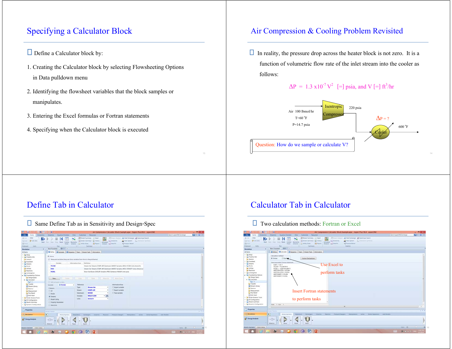# Specifying a Calculator Block

- Define a Calculator block by:
- 1. Creating the Calculator block by selecting Flowsheeting Options in Data pulldown menu
- 2. Identifying the flowsheet variables that the block samples or manipulates.
- 3. Entering the Excel formulas or Fortran statements
- 4. Specifying when the Calculator block is executed

### Air Compression & Cooling Problem Revisited

 $\Box$  In reality, the pressure drop across the heater block is not zero. It is a function of volumetric flow rate of the inlet stream into the cooler as follows:

### $\Delta P = 1.3 \times 10^{-7} V^2$  [=] psia, and V [=] ft<sup>3</sup>/hr



### Define Tab in Calculator

 $\Box$  Same Define Tab as in Sensitivity and Design-Spec

| ×<br><b>Economics</b><br><b>Allen</b><br><b>Months</b>                                                                      | No. 2010 14<br><b>Roueton Oriented</b><br><b>Dunamics</b>                                               | <b>Customore</b><br>Resources<br>View.                                                                                                                             | Air Compression Calculator Block Example agw - Aspen Plus V8.4 - aspenONE                                                                                           | Search aspenChil Exchange | 80 K<br><b>Editor</b> or D |  |  |  |
|-----------------------------------------------------------------------------------------------------------------------------|---------------------------------------------------------------------------------------------------------|--------------------------------------------------------------------------------------------------------------------------------------------------------------------|---------------------------------------------------------------------------------------------------------------------------------------------------------------------|---------------------------|----------------------------|--|--|--|
| Dig<br>A Col.<br>N<br>×<br><b>Grunt</b> Sets<br><b>DODR</b><br>Next.<br>23 Faste<br><b>Lists</b><br>Cluticand<br>Simulation | <b>Slow Read Costrol Recordile</b><br>Time.<br>East.<br><b>Panel</b><br>Rich<br>Man Foxetheat > C-1 x + | Model Summary [1] Input<br>×.<br>Children's Summary * and History<br>Artisted.<br>La Linny Com<br><b>D</b> Fiegacet<br>Analysis : COuta Fit<br>Streams:<br>Summary | Sillinger, Analysis: 45 Heat Exchanger 13 Azestrope Search<br><b>C</b> Sentinity<br>3 & Flark System<br>26 Datatana Systems<br><2 Freezen Fallat<br><b>Analysis</b> |                           |                            |  |  |  |
| All Items<br>$\sim$                                                                                                         |                                                                                                         | Obrine GCatalate GSequence Team Stream flash Information                                                                                                           |                                                                                                                                                                     |                           |                            |  |  |  |
| 1 Da Setup<br>1 E& Property Sets<br><b>Ca Analysis</b><br><b>L. Da Flowsheet</b>                                            | W. Active<br>(A) Measured variables (shap and drop variables from form to the grid below)               |                                                                                                                                                                    |                                                                                                                                                                     |                           |                            |  |  |  |
| <b>I</b> City Streams                                                                                                       | Variatie                                                                                                | Definition<br><b>Information Row:</b>                                                                                                                              |                                                                                                                                                                     |                           |                            |  |  |  |
| + Da Blocks                                                                                                                 | <b>TFLOW</b>                                                                                            |                                                                                                                                                                    | Stream-Var Stream-COMP-AIR Substream-MXXD Variable-MOLE-FLOW Units+Bimol/hr                                                                                         |                           |                            |  |  |  |
| <b>Ca cellines</b>                                                                                                          | <b>RHO</b>                                                                                              |                                                                                                                                                                    | Stream Var Stream=COMP-AIR Substream=MOED Variable=MOLE-DENSITY Units=Ibmol/cut                                                                                     |                           |                            |  |  |  |
| <b>Ca Reactions</b><br><b>C&amp; Convergence</b><br>. B Flow/neeting Options                                                | <b>PCOOL</b>                                                                                            | Block-Var Block+COOLER Variable+PRES Sentence+PARAM Units+psia-                                                                                                    |                                                                                                                                                                     |                           |                            |  |  |  |
| <b>Ca Design Specs</b><br>· Ela Catculator                                                                                  | Dalute!<br>New.                                                                                         | <b>Cone</b><br><b>The Card</b><br>Education Library                                                                                                                | <b>Millet Direct</b>                                                                                                                                                |                           |                            |  |  |  |
| <b>Cars</b>                                                                                                                 | (m) Edit selected i ariable                                                                             |                                                                                                                                                                    |                                                                                                                                                                     |                           |                            |  |  |  |
| <b>Ca Transfer</b>                                                                                                          | <b>GITTLOW</b><br>Variable                                                                              | Reference<br>۰                                                                                                                                                     | Information flow                                                                                                                                                    |                           |                            |  |  |  |
| Gil Stream Library                                                                                                          | Category                                                                                                | Type:<br>Stream-Var<br>۰                                                                                                                                           | <b>C</b> Import variable                                                                                                                                            |                           |                            |  |  |  |
| <b>Ca Ralance</b><br><b>Measurement</b>                                                                                     | <b>CLAR</b>                                                                                             | <b>COMP-AIR</b><br>Streets<br>٠                                                                                                                                    | C Export variable                                                                                                                                                   |                           |                            |  |  |  |
| <b>Ca Pres Retief</b>                                                                                                       | <b>C Blocks</b>                                                                                         | MOZO<br>Substream<br>٠                                                                                                                                             | C few variable                                                                                                                                                      |                           |                            |  |  |  |
| Add Input                                                                                                                   |                                                                                                         | $-16$<br><b>MOLE-FLOW</b><br>Variable                                                                                                                              |                                                                                                                                                                     |                           |                            |  |  |  |
| > El Model Analysis Tools                                                                                                   | <b>IK Sheams</b>                                                                                        | <b>Bened/for</b><br><b>Links</b><br>٠                                                                                                                              |                                                                                                                                                                     |                           |                            |  |  |  |
| > EB EO Configuration                                                                                                       | <b>D</b> Model Utility                                                                                  |                                                                                                                                                                    |                                                                                                                                                                     |                           |                            |  |  |  |
| > Ela Results Summary                                                                                                       | C Property Parameters                                                                                   |                                                                                                                                                                    |                                                                                                                                                                     |                           |                            |  |  |  |
| 1 E& Dynamic Configuration                                                                                                  | <b>D</b> Reactions                                                                                      |                                                                                                                                                                    |                                                                                                                                                                     |                           |                            |  |  |  |
|                                                                                                                             |                                                                                                         |                                                                                                                                                                    |                                                                                                                                                                     |                           | $\sim$                     |  |  |  |
| Properties                                                                                                                  | Model Palema                                                                                            |                                                                                                                                                                    |                                                                                                                                                                     |                           | $-3.8$                     |  |  |  |
| <b>Comulation</b>                                                                                                           | $\overline{\mathbf{H}}$<br>Moen/Salidars                                                                | Columns<br>- Reaction:<br><b>Exchangers</b><br>Separators                                                                                                          | Petture Diargers Manipulatins Solids<br>Soliza Separature   User Models                                                                                             |                           |                            |  |  |  |
|                                                                                                                             |                                                                                                         |                                                                                                                                                                    |                                                                                                                                                                     |                           |                            |  |  |  |
| <b>AV Energy Analysis</b>                                                                                                   | $\neg$<br>Material<br>Maar                                                                              | <b>PSpit</b><br>State                                                                                                                                              |                                                                                                                                                                     |                           |                            |  |  |  |
| Results Available Check Status                                                                                              |                                                                                                         |                                                                                                                                                                    |                                                                                                                                                                     | $lim: \Theta$             | $=$<br>$-4415$             |  |  |  |
|                                                                                                                             |                                                                                                         | $\sqrt{A^2 + 24}$                                                                                                                                                  |                                                                                                                                                                     | <b>FRIDA</b><br>图第2章 图    |                            |  |  |  |
|                                                                                                                             |                                                                                                         |                                                                                                                                                                    |                                                                                                                                                                     |                           |                            |  |  |  |

## Calculator Tab in Calculator

 $\Box$  Two calculation methods: Fortran or Excel

| м<br><b>INCHES</b>                                                                                                                                                                                                                                                                                                                                                                                                                                                                                       | .<br>Air Compression Calculator Block Example.apw - Aspen Plus V8.4 - aspenONE                                                                                                                                                                                                                                                                                                                                                  | --      |
|----------------------------------------------------------------------------------------------------------------------------------------------------------------------------------------------------------------------------------------------------------------------------------------------------------------------------------------------------------------------------------------------------------------------------------------------------------------------------------------------------------|---------------------------------------------------------------------------------------------------------------------------------------------------------------------------------------------------------------------------------------------------------------------------------------------------------------------------------------------------------------------------------------------------------------------------------|---------|
| <b>Jie</b><br><b>H</b> ame<br><b>Etonomics</b>                                                                                                                                                                                                                                                                                                                                                                                                                                                           | Search aspenCAIF Exchange<br><b>Uvarnick</b><br>Equation Driented<br>View<br>Cummise<br><b>Firmources</b>                                                                                                                                                                                                                                                                                                                       | 四 3 W 日 |
| <b>Did</b><br>N<br>A DA<br><b>Grunt Sett</b><br>QCinn.<br><b>News</b><br>25 Vents<br>Dationid<br><b>Using</b>                                                                                                                                                                                                                                                                                                                                                                                            | <b>25 Michel Summary 12 liquid</b><br>Schools Analysis' An Heat Exchanger 12 Assortope Search<br>C Senatory<br>Sistemant Summary * and History<br>A Flare System  In Contration Systems<br>Reconcile<br>Reist.<br><b>Control</b><br>Activated<br><b>The Card</b><br>42 Pressure Relief<br>(2) Utility Cireta<br><b>E2 Report</b><br><b>Analysis</b> M <sup>2</sup> Data Fit<br>Paint<br>Streams.<br>Run<br>Analysts<br>Sisteman |         |
| Simulation                                                                                                                                                                                                                                                                                                                                                                                                                                                                                               | Man Figureheet - C-1 = +                                                                                                                                                                                                                                                                                                                                                                                                        |         |
| All lierns                                                                                                                                                                                                                                                                                                                                                                                                                                                                                               | ODefine O'Calculate O'Sequence Sean Stream Flash Information                                                                                                                                                                                                                                                                                                                                                                    |         |
| - Da Setup<br><b>Lig</b> Property Sets<br>Ca Analysis<br><b>Co</b> Flowsheet<br><b>Co Streams</b><br><b>Eig Blocks</b><br><b>California</b><br><b>Da Reactions</b><br><b>Convergence</b><br>B Flowsheeting Options<br><b>Design Special</b><br>- Ela Canudator<br>1.0404<br><b>Ca Transfer</b><br><b>B</b> Stream Library<br><b>Ca Balance</b><br><b>Da</b> Measurement<br>Ca Pres Relief<br>And Input<br>Nodel Analysis Tools<br>La 10 Configuration<br>Dig Results Summary<br>Da Dynamic Configuration | Calculation method<br>C Excel<br><b>Fortran Declarations</b><br><b>IR</b> Fortram<br>Enter executable Fortran statements<br>Use Excel to<br>$COCF + 1.36 - 7$<br>OVANNA TILOW/RHO<br>PCDOL + -COEF VILOW ** 2<br>WRITE/NHSTRY."  VFLOW<br>perform tasks<br>WILTE/NHSTRY *: PCOOL<br>WAITE/NIPT/5/VFLOW<br>WILTE(NAPT.") PCOOL<br><b>Insert Fortran statements</b><br>to perform tasks<br>Row: 1 Col: 1                          |         |
| <b>Properties</b>                                                                                                                                                                                                                                                                                                                                                                                                                                                                                        | m<br><b>Musical Partners</b>                                                                                                                                                                                                                                                                                                                                                                                                    | $-3$    |
| <b>CC Simulation</b>                                                                                                                                                                                                                                                                                                                                                                                                                                                                                     | $\overline{\mathbf{R}}$<br><b>Fremure Changers</b><br>Monry/Splitters<br><b>Dilumia</b><br>Estactors<br><b>Manpulatins</b><br>Solids - Solids Separators<br><b>User Minister</b><br>Separators:<br>Indungers                                                                                                                                                                                                                    |         |
| <b>A.D. Energy Analysis</b>                                                                                                                                                                                                                                                                                                                                                                                                                                                                              | $\neg$<br>Material<br>Albert<br><b>PSplit</b><br>Stair                                                                                                                                                                                                                                                                                                                                                                          |         |
| Results Available   Check Status                                                                                                                                                                                                                                                                                                                                                                                                                                                                         | $1006 - 19$                                                                                                                                                                                                                                                                                                                                                                                                                     |         |
|                                                                                                                                                                                                                                                                                                                                                                                                                                                                                                          | W.<br><b>P</b><br>لتقل<br><b>HHE 341 IN</b><br>œ<br><b>PRI</b><br>œа                                                                                                                                                                                                                                                                                                                                                            |         |